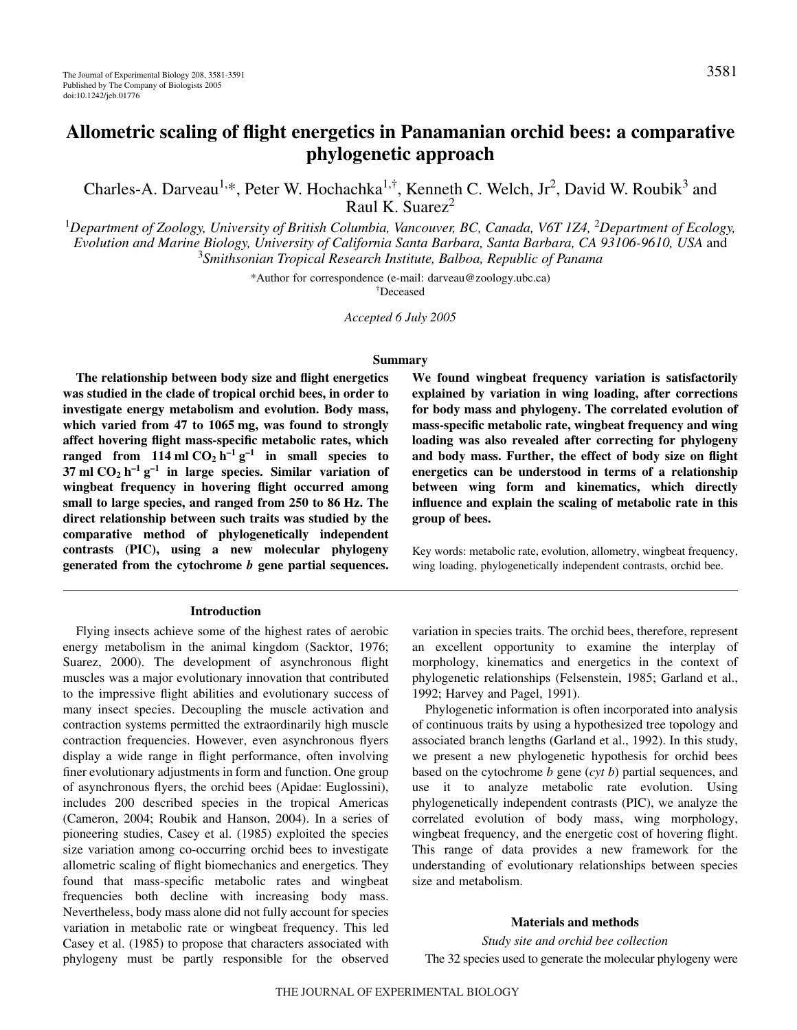# **Allometric scaling of flight energetics in Panamanian orchid bees: a comparative phylogenetic approach**

Charles-A. Darveau<sup>1,\*</sup>, Peter W. Hochachka<sup>1,†</sup>, Kenneth C. Welch, Jr<sup>2</sup>, David W. Roubik<sup>3</sup> and Raul K. Suarez $<sup>2</sup>$ </sup>

<sup>1</sup>Department of Zoology, University of British Columbia, Vancouver, BC, Canada, V6T 1Z4, <sup>2</sup>Department of Ecology, *Evolution and Marine Biology, University of California Santa Barbara, Santa Barbara, CA 93106-9610, USA* and 3 *Smithsonian Tropical Research Institute, Balboa, Republic of Panama*

\*Author for correspondence (e-mail: darveau@zoology.ubc.ca)

† Deceased

*Accepted 6 July 2005*

#### **Summary**

**The relationship between body size and flight energetics was studied in the clade of tropical orchid bees, in order to investigate energy metabolism and evolution. Body mass,** which varied from 47 to 1065 mg, was found to strongly **affect hovering flight mass-specific metabolic rates, which ranged from 114 ml**  $CO_2h^{-1}g^{-1}$  **in small species to 37** ml  $CO_2$   $h^{-1}$   $g^{-1}$  in large species. Similar variation of **wingbeat frequency in hovering flight occurred among small to large species, and ranged from 250 to 86·Hz. The direct relationship between such traits was studied by the comparative method of phylogenetically independent contrasts (PIC), using a new molecular phylogeny generated from the cytochrome** *b* **gene partial sequences.**

#### **Introduction**

Flying insects achieve some of the highest rates of aerobic energy metabolism in the animal kingdom (Sacktor, 1976; Suarez, 2000). The development of asynchronous flight muscles was a major evolutionary innovation that contributed to the impressive flight abilities and evolutionary success of many insect species. Decoupling the muscle activation and contraction systems permitted the extraordinarily high muscle contraction frequencies. However, even asynchronous flyers display a wide range in flight performance, often involving finer evolutionary adjustments in form and function. One group of asynchronous flyers, the orchid bees (Apidae: Euglossini), includes 200 described species in the tropical Americas (Cameron, 2004; Roubik and Hanson, 2004). In a series of pioneering studies, Casey et al. (1985) exploited the species size variation among co-occurring orchid bees to investigate allometric scaling of flight biomechanics and energetics. They found that mass-specific metabolic rates and wingbeat frequencies both decline with increasing body mass. Nevertheless, body mass alone did not fully account for species variation in metabolic rate or wingbeat frequency. This led Casey et al. (1985) to propose that characters associated with phylogeny must be partly responsible for the observed **We found wingbeat frequency variation is satisfactorily explained by variation in wing loading, after corrections for body mass and phylogeny. The correlated evolution of mass-specific metabolic rate, wingbeat frequency and wing loading was also revealed after correcting for phylogeny and body mass. Further, the effect of body size on flight energetics can be understood in terms of a relationship between wing form and kinematics, which directly influence and explain the scaling of metabolic rate in this group of bees.**

Key words: metabolic rate, evolution, allometry, wingbeat frequency, wing loading, phylogenetically independent contrasts, orchid bee.

variation in species traits. The orchid bees, therefore, represent an excellent opportunity to examine the interplay of morphology, kinematics and energetics in the context of phylogenetic relationships (Felsenstein, 1985; Garland et al., 1992; Harvey and Pagel, 1991).

Phylogenetic information is often incorporated into analysis of continuous traits by using a hypothesized tree topology and associated branch lengths (Garland et al., 1992). In this study, we present a new phylogenetic hypothesis for orchid bees based on the cytochrome *b* gene (*cyt b*) partial sequences, and use it to analyze metabolic rate evolution. Using phylogenetically independent contrasts (PIC), we analyze the correlated evolution of body mass, wing morphology, wingbeat frequency, and the energetic cost of hovering flight. This range of data provides a new framework for the understanding of evolutionary relationships between species size and metabolism.

## **Materials and methods**

*Study site and orchid bee collection* The 32 species used to generate the molecular phylogeny were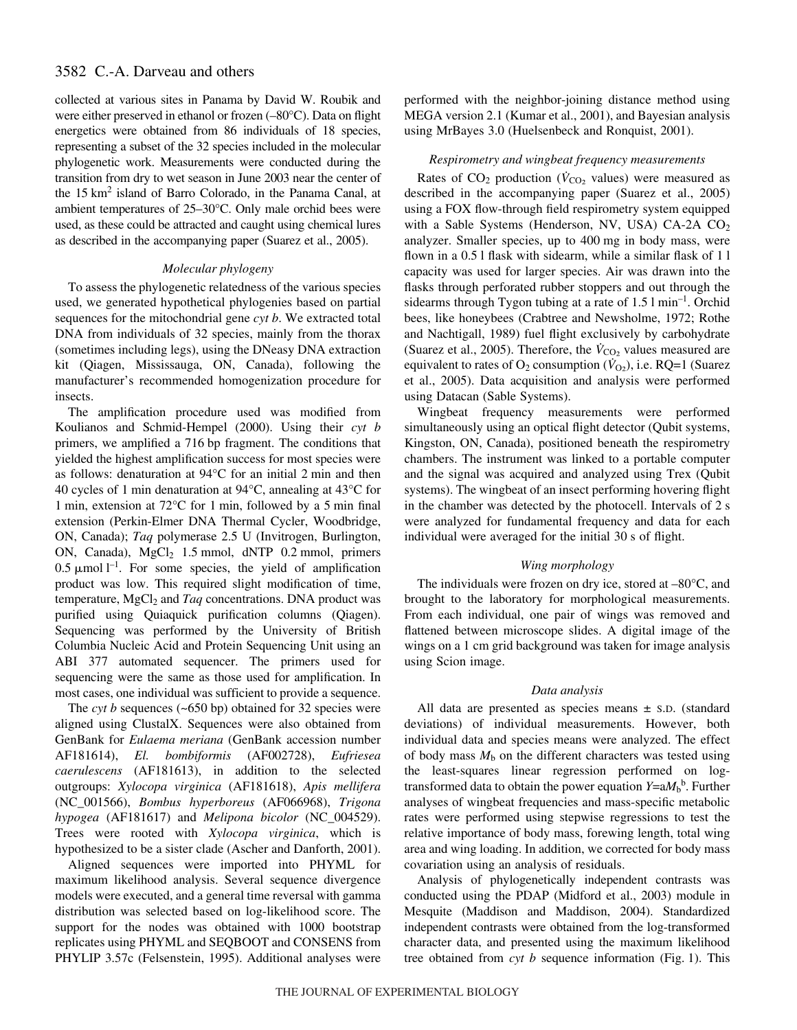# 3582 C.-A. Darveau and others

collected at various sites in Panama by David W. Roubik and were either preserved in ethanol or frozen (–80°C). Data on flight energetics were obtained from 86 individuals of 18 species, representing a subset of the 32 species included in the molecular phylogenetic work. Measurements were conducted during the transition from dry to wet season in June 2003 near the center of the 15 km<sup>2</sup> island of Barro Colorado, in the Panama Canal, at ambient temperatures of 25–30°C. Only male orchid bees were used, as these could be attracted and caught using chemical lures as described in the accompanying paper (Suarez et al., 2005).

## *Molecular phylogeny*

To assess the phylogenetic relatedness of the various species used, we generated hypothetical phylogenies based on partial sequences for the mitochondrial gene *cyt b*. We extracted total DNA from individuals of 32 species, mainly from the thorax (sometimes including legs), using the DNeasy DNA extraction kit (Qiagen, Mississauga, ON, Canada), following the manufacturer's recommended homogenization procedure for insects.

The amplification procedure used was modified from Koulianos and Schmid-Hempel (2000). Using their *cyt b* primers, we amplified a 716 bp fragment. The conditions that yielded the highest amplification success for most species were as follows: denaturation at  $94^{\circ}$ C for an initial 2 min and then 40 cycles of 1 min denaturation at  $94^{\circ}$ C, annealing at  $43^{\circ}$ C for 1 min, extension at  $72^{\circ}$ C for 1 min, followed by a 5 min final extension (Perkin-Elmer DNA Thermal Cycler, Woodbridge, ON, Canada); *Taq* polymerase 2.5 U (Invitrogen, Burlington, ON, Canada),  $MgCl<sub>2</sub> 1.5 mmol, dNTP 0.2 mmol, primers$ 0.5  $\mu$ mol l<sup>-1</sup>. For some species, the yield of amplification product was low. This required slight modification of time, temperature, MgCl<sub>2</sub> and *Taq* concentrations. DNA product was purified using Quiaquick purification columns (Qiagen). Sequencing was performed by the University of British Columbia Nucleic Acid and Protein Sequencing Unit using an ABI 377 automated sequencer. The primers used for sequencing were the same as those used for amplification. In most cases, one individual was sufficient to provide a sequence.

The *cyt b* sequences  $(-650 bp)$  obtained for 32 species were aligned using ClustalX. Sequences were also obtained from GenBank for *Eulaema meriana* (GenBank accession number AF181614), *El. bombiformis* (AF002728), *Eufriesea caerulescens* (AF181613), in addition to the selected outgroups: *Xylocopa virginica* (AF181618), *Apis mellifera* (NC\_001566), *Bombus hyperboreus* (AF066968), *Trigona hypogea* (AF181617) and *Melipona bicolor* (NC\_004529). Trees were rooted with *Xylocopa virginica*, which is hypothesized to be a sister clade (Ascher and Danforth, 2001).

Aligned sequences were imported into PHYML for maximum likelihood analysis. Several sequence divergence models were executed, and a general time reversal with gamma distribution was selected based on log-likelihood score. The support for the nodes was obtained with 1000 bootstrap replicates using PHYML and SEQBOOT and CONSENS from PHYLIP 3.57c (Felsenstein, 1995). Additional analyses were

performed with the neighbor-joining distance method using MEGA version 2.1 (Kumar et al., 2001), and Bayesian analysis using MrBayes 3.0 (Huelsenbeck and Ronquist, 2001).

## *Respirometry and wingbeat frequency measurements*

Rates of  $CO_2$  production ( $\dot{V}_{CO_2}$  values) were measured as described in the accompanying paper (Suarez et al., 2005) using a FOX flow-through field respirometry system equipped with a Sable Systems (Henderson, NV, USA) CA-2A CO<sub>2</sub> analyzer. Smaller species, up to 400 mg in body mass, were flown in a 0.5 l flask with sidearm, while a similar flask of 11 capacity was used for larger species. Air was drawn into the flasks through perforated rubber stoppers and out through the sidearms through Tygon tubing at a rate of  $1.51 \text{ min}^{-1}$ . Orchid bees, like honeybees (Crabtree and Newsholme, 1972; Rothe and Nachtigall, 1989) fuel flight exclusively by carbohydrate (Suarez et al., 2005). Therefore, the  $\dot{V}_{\text{CO}_2}$  values measured are equivalent to rates of  $O_2$  consumption ( $\dot{V}_{O_2}$ ), i.e. RQ=1 (Suarez et al., 2005). Data acquisition and analysis were performed using Datacan (Sable Systems).

Wingbeat frequency measurements were performed simultaneously using an optical flight detector (Qubit systems, Kingston, ON, Canada), positioned beneath the respirometry chambers. The instrument was linked to a portable computer and the signal was acquired and analyzed using Trex (Qubit systems). The wingbeat of an insect performing hovering flight in the chamber was detected by the photocell. Intervals of 2 s were analyzed for fundamental frequency and data for each individual were averaged for the initial 30 s of flight.

## *Wing morphology*

The individuals were frozen on dry ice, stored at –80°C, and brought to the laboratory for morphological measurements. From each individual, one pair of wings was removed and flattened between microscope slides. A digital image of the wings on a 1 cm grid background was taken for image analysis using Scion image.

## *Data analysis*

All data are presented as species means  $\pm$  s.D. (standard deviations) of individual measurements. However, both individual data and species means were analyzed. The effect of body mass  $M<sub>b</sub>$  on the different characters was tested using the least-squares linear regression performed on logtransformed data to obtain the power equation *Y*=a $M_b$ <sup>b</sup>. Further analyses of wingbeat frequencies and mass-specific metabolic rates were performed using stepwise regressions to test the relative importance of body mass, forewing length, total wing area and wing loading. In addition, we corrected for body mass covariation using an analysis of residuals.

Analysis of phylogenetically independent contrasts was conducted using the PDAP (Midford et al., 2003) module in Mesquite (Maddison and Maddison, 2004). Standardized independent contrasts were obtained from the log-transformed character data, and presented using the maximum likelihood tree obtained from *cyt b* sequence information (Fig. 1). This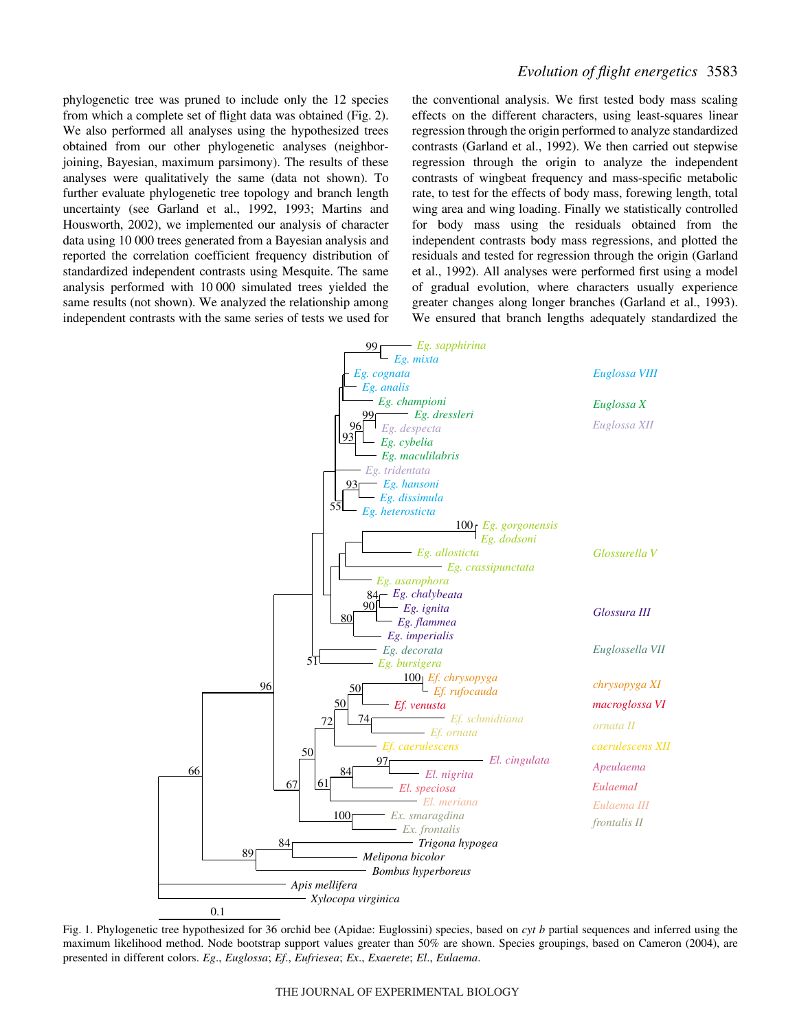phylogenetic tree was pruned to include only the 12 species from which a complete set of flight data was obtained (Fig. 2). We also performed all analyses using the hypothesized trees obtained from our other phylogenetic analyses (neighborjoining, Bayesian, maximum parsimony). The results of these analyses were qualitatively the same (data not shown). To further evaluate phylogenetic tree topology and branch length uncertainty (see Garland et al., 1992, 1993; Martins and Housworth, 2002), we implemented our analysis of character data using 10 000 trees generated from a Bayesian analysis and reported the correlation coefficient frequency distribution of standardized independent contrasts using Mesquite. The same analysis performed with 10000 simulated trees yielded the same results (not shown). We analyzed the relationship among independent contrasts with the same series of tests we used for the conventional analysis. We first tested body mass scaling effects on the different characters, using least-squares linear regression through the origin performed to analyze standardized contrasts (Garland et al., 1992). We then carried out stepwise regression through the origin to analyze the independent contrasts of wingbeat frequency and mass-specific metabolic rate, to test for the effects of body mass, forewing length, total wing area and wing loading. Finally we statistically controlled for body mass using the residuals obtained from the independent contrasts body mass regressions, and plotted the residuals and tested for regression through the origin (Garland et al., 1992). All analyses were performed first using a model of gradual evolution, where characters usually experience greater changes along longer branches (Garland et al., 1993). We ensured that branch lengths adequately standardized the



Fig. 1. Phylogenetic tree hypothesized for 36 orchid bee (Apidae: Euglossini) species, based on *cyt b* partial sequences and inferred using the maximum likelihood method. Node bootstrap support values greater than 50% are shown. Species groupings, based on Cameron (2004), are presented in different colors. *Eg*., *Euglossa*; *Ef*., *Eufriesea*; *Ex*., *Exaerete*; *El*., *Eulaema*.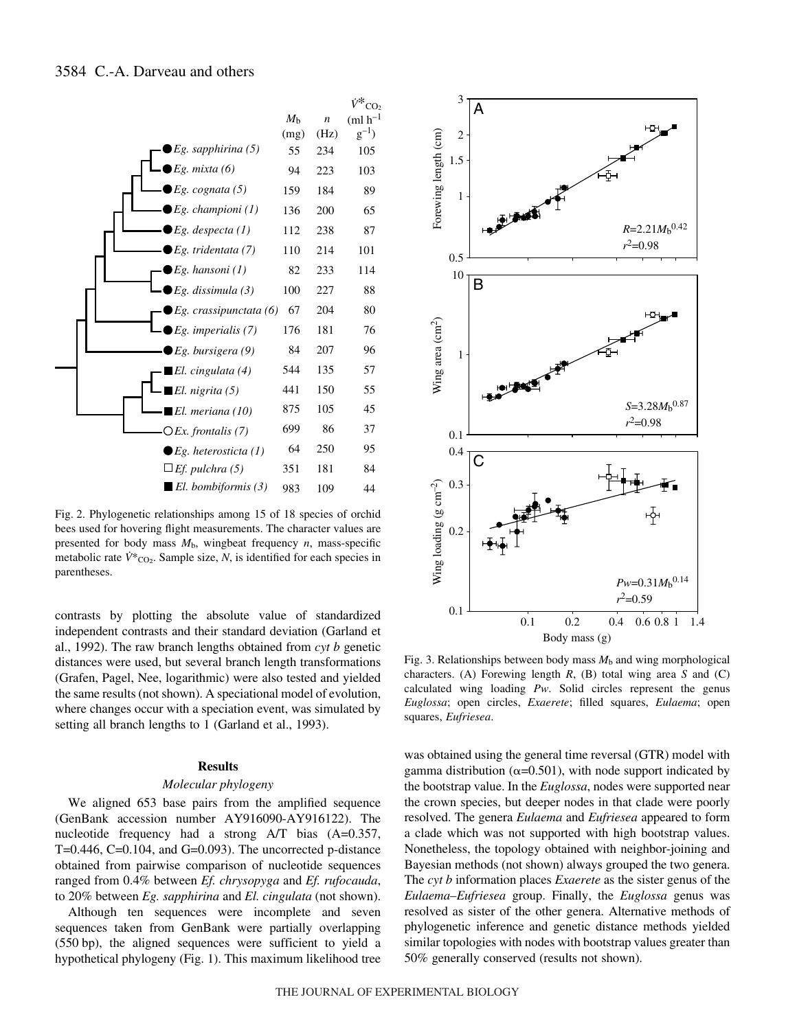

Fig. 2. Phylogenetic relationships among 15 of 18 species of orchid bees used for hovering flight measurements. The character values are presented for body mass *M*b, wingbeat frequency *n*, mass-specific metabolic rate  $\dot{V}^*$ <sub>CO2</sub>. Sample size, *N*, is identified for each species in parentheses.

contrasts by plotting the absolute value of standardized independent contrasts and their standard deviation (Garland et al., 1992). The raw branch lengths obtained from *cyt b* genetic distances were used, but several branch length transformations (Grafen, Pagel, Nee, logarithmic) were also tested and yielded the same results (not shown). A speciational model of evolution, where changes occur with a speciation event, was simulated by setting all branch lengths to 1 (Garland et al., 1993).

#### **Results**

#### *Molecular phylogeny*

We aligned 653 base pairs from the amplified sequence (GenBank accession number AY916090-AY916122). The nucleotide frequency had a strong A/T bias (A=0.357, T=0.446, C=0.104, and G=0.093). The uncorrected p-distance obtained from pairwise comparison of nucleotide sequences ranged from 0.4% between *Ef. chrysopyga* and *Ef. rufocauda*, to 20% between *Eg. sapphirina* and *El. cingulata* (not shown).

Although ten sequences were incomplete and seven sequences taken from GenBank were partially overlapping  $(550 bp)$ , the aligned sequences were sufficient to yield a hypothetical phylogeny (Fig. 1). This maximum likelihood tree



Fig. 3. Relationships between body mass  $M<sub>b</sub>$  and wing morphological characters. (A) Forewing length *R*, (B) total wing area *S* and (C) calculated wing loading *Pw*. Solid circles represent the genus *Euglossa*; open circles, *Exaerete*; filled squares, *Eulaema*; open squares, *Eufriesea*.

was obtained using the general time reversal (GTR) model with gamma distribution ( $\alpha$ =0.501), with node support indicated by the bootstrap value. In the *Euglossa*, nodes were supported near the crown species, but deeper nodes in that clade were poorly resolved. The genera *Eulaema* and *Eufriesea* appeared to form a clade which was not supported with high bootstrap values. Nonetheless, the topology obtained with neighbor-joining and Bayesian methods (not shown) always grouped the two genera. The *cyt b* information places *Exaerete* as the sister genus of the *Eulaema*–*Eufriesea* group. Finally, the *Euglossa* genus was resolved as sister of the other genera. Alternative methods of phylogenetic inference and genetic distance methods yielded similar topologies with nodes with bootstrap values greater than 50% generally conserved (results not shown).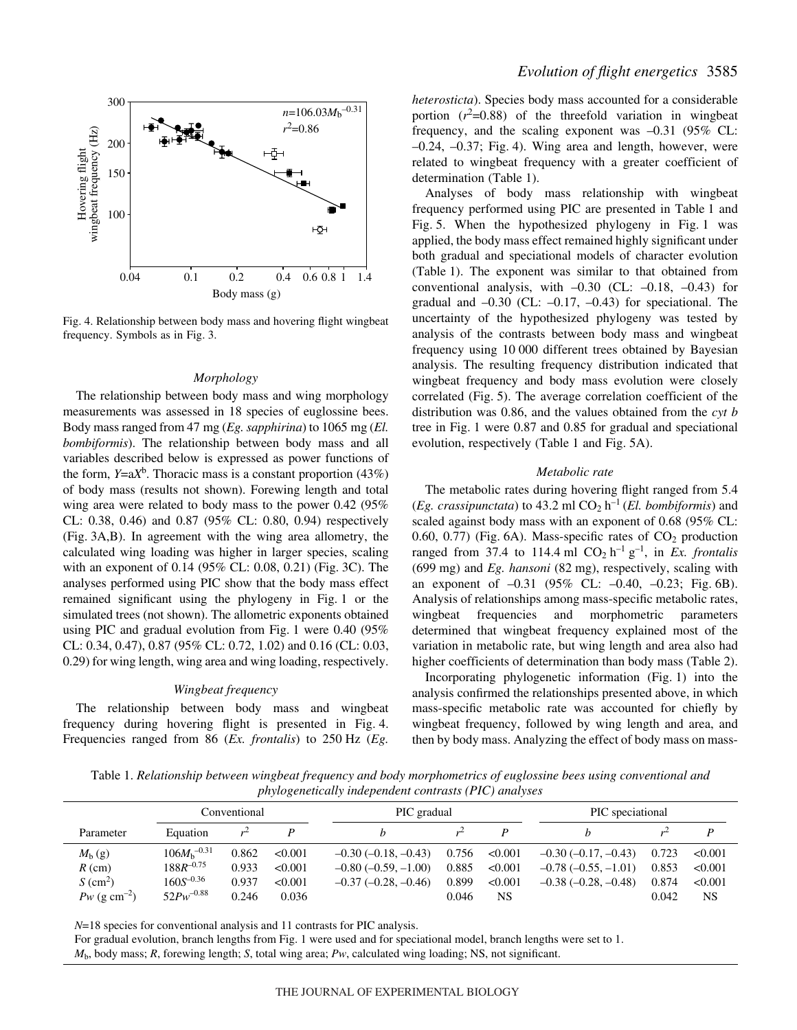

Fig. 4. Relationship between body mass and hovering flight wingbeat frequency. Symbols as in Fig. 3.

#### *Morphology*

The relationship between body mass and wing morphology measurements was assessed in 18 species of euglossine bees. Body mass ranged from 47 mg (*Eg. sapphirina*) to 1065 mg (*El. bombiformis*). The relationship between body mass and all variables described below is expressed as power functions of the form,  $Y=aX<sup>b</sup>$ . Thoracic mass is a constant proportion (43%) of body mass (results not shown). Forewing length and total wing area were related to body mass to the power 0.42 (95% CL: 0.38, 0.46) and 0.87 (95% CL: 0.80, 0.94) respectively (Fig. 3A,B). In agreement with the wing area allometry, the calculated wing loading was higher in larger species, scaling with an exponent of  $0.14$  (95% CL: 0.08, 0.21) (Fig. 3C). The analyses performed using PIC show that the body mass effect remained significant using the phylogeny in Fig. 1 or the simulated trees (not shown). The allometric exponents obtained using PIC and gradual evolution from Fig. 1 were  $0.40$  (95%) CL: 0.34, 0.47), 0.87 (95% CL: 0.72, 1.02) and 0.16 (CL: 0.03, 0.29) for wing length, wing area and wing loading, respectively.

#### *Wingbeat frequency*

The relationship between body mass and wingbeat frequency during hovering flight is presented in Fig. 4. Frequencies ranged from 86 (*Ex. frontalis*) to 250 Hz (*Eg.* 

*heterosticta*). Species body mass accounted for a considerable portion  $(r^2=0.88)$  of the threefold variation in wingbeat frequency, and the scaling exponent was –0.31 (95% CL:  $-0.24$ ,  $-0.37$ ; Fig. 4). Wing area and length, however, were related to wingbeat frequency with a greater coefficient of determination (Table 1).

Analyses of body mass relationship with wingbeat frequency performed using PIC are presented in Table 1 and Fig. 5. When the hypothesized phylogeny in Fig. 1 was applied, the body mass effect remained highly significant under both gradual and speciational models of character evolution (Table 1). The exponent was similar to that obtained from conventional analysis, with  $-0.30$  (CL:  $-0.18$ ,  $-0.43$ ) for gradual and  $-0.30$  (CL:  $-0.17$ ,  $-0.43$ ) for speciational. The uncertainty of the hypothesized phylogeny was tested by analysis of the contrasts between body mass and wingbeat frequency using 10 000 different trees obtained by Bayesian analysis. The resulting frequency distribution indicated that wingbeat frequency and body mass evolution were closely correlated (Fig. 5). The average correlation coefficient of the distribution was 0.86, and the values obtained from the *cyt b* tree in Fig. 1 were 0.87 and 0.85 for gradual and speciational evolution, respectively (Table 1 and Fig. 5A).

#### *Metabolic rate*

The metabolic rates during hovering flight ranged from 5.4 (*Eg. crassipunctata*) to 43.2 ml  $CO<sub>2</sub> h<sup>-1</sup>$  (*El. bombiformis*) and scaled against body mass with an exponent of 0.68 (95% CL: 0.60, 0.77) (Fig. 6A). Mass-specific rates of  $CO<sub>2</sub>$  production ranged from 37.4 to 114.4 ml  $CO<sub>2</sub> h<sup>-1</sup> g<sup>-1</sup>$ , in *Ex. frontalis* (699 mg) and *Eg. hansoni* (82 mg), respectively, scaling with an exponent of  $-0.31$  (95% CL:  $-0.40$ ,  $-0.23$ ; Fig. 6B). Analysis of relationships among mass-specific metabolic rates, wingbeat frequencies and morphometric parameters determined that wingbeat frequency explained most of the variation in metabolic rate, but wing length and area also had higher coefficients of determination than body mass (Table 2).

Incorporating phylogenetic information (Fig. 1) into the analysis confirmed the relationships presented above, in which mass-specific metabolic rate was accounted for chiefly by wingbeat frequency, followed by wing length and area, and then by body mass. Analyzing the effect of body mass on mass-

Table 1. *Relationship between wingbeat frequency and body morphometrics of euglossine bees using conventional and phylogenetically independent contrasts (PIC) analyses*

|                               | Conventional     |       |         | PIC gradual                   |       |         | PIC speciational           |       |         |
|-------------------------------|------------------|-------|---------|-------------------------------|-------|---------|----------------------------|-------|---------|
| Parameter                     | Equation         |       |         |                               |       |         |                            |       |         |
| $M_{\rm b}$ (g)               | $106M_h^{-0.31}$ | 0.862 | < 0.001 | $-0.30$ ( $-0.18$ , $-0.43$ ) | 0.756 | < 0.001 | $-0.30$ ( $-0.17, -0.43$ ) | 0.723 | < 0.001 |
| $R$ (cm)                      | $188R^{-0.75}$   | 0.933 | < 0.001 | $-0.80$ ( $-0.59$ , $-1.00$ ) | 0.885 | < 0.001 | $-0.78(-0.55,-1.01)$       | 0.853 | < 0.001 |
| $S$ (cm <sup>2</sup> )        | $160S^{-0.36}$   | 0.937 | < 0.001 | $-0.37(-0.28,-0.46)$          | 0.899 | < 0.001 | $-0.38(-0.28,-0.48)$       | 0.874 | < 0.001 |
| $P_{W}$ (g cm <sup>-2</sup> ) | $52Pw^{-0.88}$   | 0.246 | 0.036   |                               | 0.046 | NS      |                            | 0.042 | NS      |

*N*=18 species for conventional analysis and 11 contrasts for PIC analysis.

For gradual evolution, branch lengths from Fig. 1 were used and for speciational model, branch lengths were set to 1.

*M*b, body mass; *R*, forewing length; *S*, total wing area; *Pw*, calculated wing loading; NS, not significant.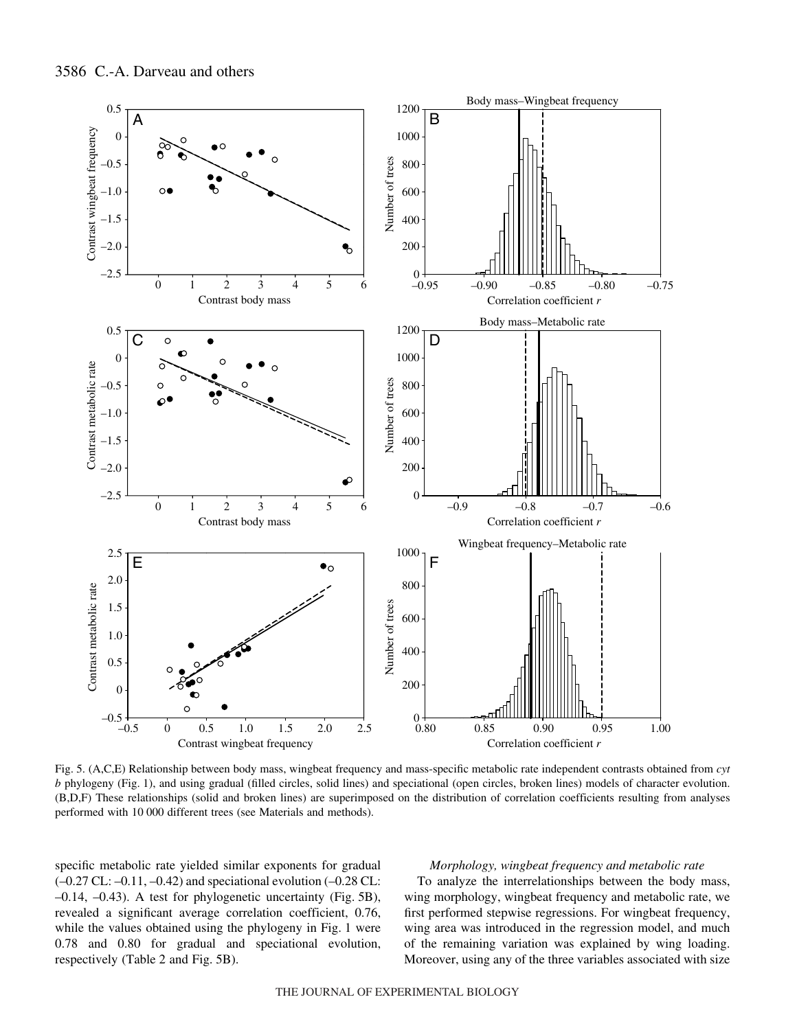

Fig. 5. (A,C,E) Relationship between body mass, wingbeat frequency and mass-specific metabolic rate independent contrasts obtained from *cyt b* phylogeny (Fig. 1), and using gradual (filled circles, solid lines) and speciational (open circles, broken lines) models of character evolution. (B,D,F) These relationships (solid and broken lines) are superimposed on the distribution of correlation coefficients resulting from analyses performed with 10 000 different trees (see Materials and methods).

specific metabolic rate yielded similar exponents for gradual  $(-0.27 \text{ CL}$ :  $-0.11$ ,  $-0.42$ ) and speciational evolution  $(-0.28 \text{ CL})$ :  $-0.14$ ,  $-0.43$ ). A test for phylogenetic uncertainty (Fig. 5B), revealed a significant average correlation coefficient, 0.76, while the values obtained using the phylogeny in Fig. 1 were 0.78 and 0.80 for gradual and speciational evolution, respectively (Table 2 and Fig. 5B).

## *Morphology, wingbeat frequency and metabolic rate*

To analyze the interrelationships between the body mass, wing morphology, wingbeat frequency and metabolic rate, we first performed stepwise regressions. For wingbeat frequency, wing area was introduced in the regression model, and much of the remaining variation was explained by wing loading. Moreover, using any of the three variables associated with size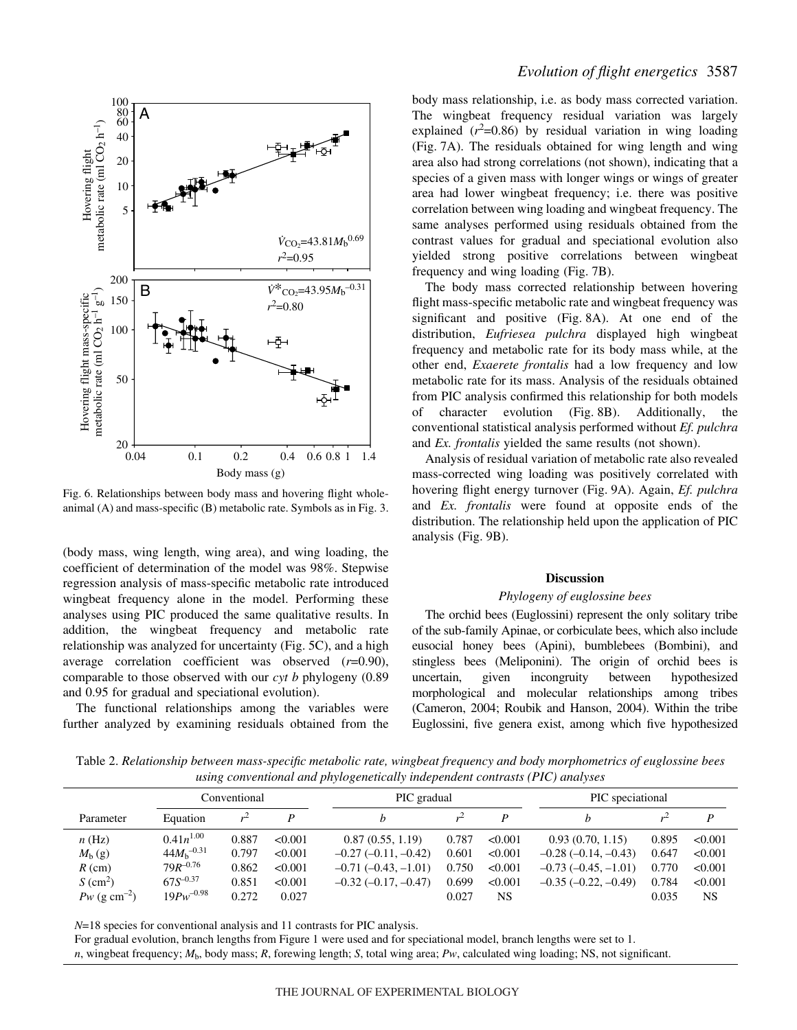

Fig. 6. Relationships between body mass and hovering flight wholeanimal  $(A)$  and mass-specific  $(B)$  metabolic rate. Symbols as in Fig. 3.

(body mass, wing length, wing area), and wing loading, the coefficient of determination of the model was 98%. Stepwise regression analysis of mass-specific metabolic rate introduced wingbeat frequency alone in the model. Performing these analyses using PIC produced the same qualitative results. In addition, the wingbeat frequency and metabolic rate relationship was analyzed for uncertainty (Fig. 5C), and a high average correlation coefficient was observed (*r*=0.90), comparable to those observed with our *cyt b* phylogeny (0.89 and 0.95 for gradual and speciational evolution).

The functional relationships among the variables were further analyzed by examining residuals obtained from the body mass relationship, i.e. as body mass corrected variation. The wingbeat frequency residual variation was largely explained  $(r^2=0.86)$  by residual variation in wing loading (Fig. 7A). The residuals obtained for wing length and wing area also had strong correlations (not shown), indicating that a species of a given mass with longer wings or wings of greater area had lower wingbeat frequency; i.e. there was positive correlation between wing loading and wingbeat frequency. The same analyses performed using residuals obtained from the contrast values for gradual and speciational evolution also yielded strong positive correlations between wingbeat frequency and wing loading (Fig. 7B).

The body mass corrected relationship between hovering flight mass-specific metabolic rate and wingbeat frequency was significant and positive (Fig. 8A). At one end of the distribution, *Eufriesea pulchra* displayed high wingbeat frequency and metabolic rate for its body mass while, at the other end, *Exaerete frontalis* had a low frequency and low metabolic rate for its mass. Analysis of the residuals obtained from PIC analysis confirmed this relationship for both models of character evolution (Fig. 8B). Additionally, the conventional statistical analysis performed without *Ef. pulchra* and *Ex. frontalis* yielded the same results (not shown).

Analysis of residual variation of metabolic rate also revealed mass-corrected wing loading was positively correlated with hovering flight energy turnover (Fig. 9A). Again, *Ef. pulchra* and *Ex. frontalis* were found at opposite ends of the distribution. The relationship held upon the application of PIC analysis (Fig. 9B).

#### **Discussion**

#### *Phylogeny of euglossine bees*

The orchid bees (Euglossini) represent the only solitary tribe of the sub-family Apinae, or corbiculate bees, which also include eusocial honey bees (Apini), bumblebees (Bombini), and stingless bees (Meliponini). The origin of orchid bees is uncertain, given incongruity between hypothesized morphological and molecular relationships among tribes (Cameron, 2004; Roubik and Hanson, 2004). Within the tribe Euglossini, five genera exist, among which five hypothesized

Table 2. *Relationship between mass-specific metabolic rate, wingbeat frequency and body morphometrics of euglossine bees using conventional and phylogenetically independent contrasts (PIC) analyses*

|                            | Conventional    |       |         | PIC gradual           |       |           | PIC speciational      |       |         |
|----------------------------|-----------------|-------|---------|-----------------------|-------|-----------|-----------------------|-------|---------|
| Parameter                  | Equation        |       |         |                       |       |           |                       |       |         |
| n(Hz)                      | $0.41n^{1.00}$  | 0.887 | < 0.001 | 0.87(0.55, 1.19)      | 0.787 | < 0.001   | 0.93(0.70, 1.15)      | 0.895 | < 0.001 |
| $M_{\rm b}$ (g)            | $44M_h^{-0.31}$ | 0.797 | < 0.001 | $-0.27(-0.11,-0.42)$  | 0.601 | < 0.001   | $-0.28(-0.14,-0.43)$  | 0.647 | < 0.001 |
| $R$ (cm)                   | $79R^{-0.76}$   | 0.862 | < 0.001 | $-0.71(-0.43,-1.01)$  | 0.750 | < 0.001   | $-0.73(-0.45,-1.01)$  | 0.770 | < 0.001 |
| $S$ (cm <sup>2</sup> )     | $67S^{-0.37}$   | 0.851 | < 0.001 | $-0.32(-0.17, -0.47)$ | 0.699 | < 0.001   | $-0.35(-0.22, -0.49)$ | 0.784 | < 0.001 |
| $Pw$ (g cm <sup>-2</sup> ) | $19Pw^{-0.98}$  | 0.272 | 0.027   |                       | 0.027 | <b>NS</b> |                       | 0.035 | NS      |

*N*=18 species for conventional analysis and 11 contrasts for PIC analysis.

For gradual evolution, branch lengths from Figure 1 were used and for speciational model, branch lengths were set to 1.

*n*, wingbeat frequency; *M*b, body mass; *R*, forewing length; *S*, total wing area; *Pw*, calculated wing loading; NS, not significant.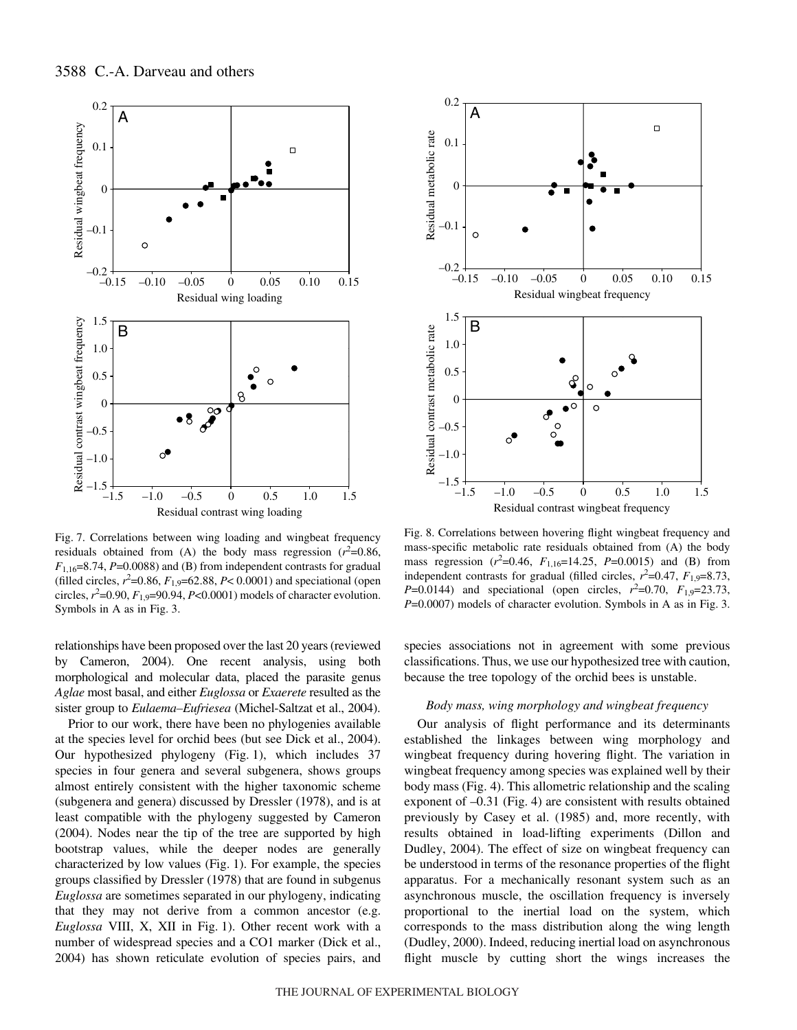

Fig. 7. Correlations between wing loading and wingbeat frequency residuals obtained from (A) the body mass regression  $(r^2=0.86,$  $F_{1,16}=8.74$ , *P*=0.0088) and (B) from independent contrasts for gradual (filled circles,  $r^2$ =0.86,  $F_{1,9}$ =62.88,  $P$ < 0.0001) and speciational (open circles,  $r^2$ =0.90,  $F_{1,9}$ =90.94,  $P$ <0.0001) models of character evolution. Symbols in A as in Fig. 3.

relationships have been proposed over the last 20 years (reviewed by Cameron, 2004). One recent analysis, using both morphological and molecular data, placed the parasite genus *Aglae* most basal, and either *Euglossa* or *Exaerete* resulted as the sister group to *Eulaema–Eufriesea* (Michel-Saltzat et al., 2004).

Prior to our work, there have been no phylogenies available at the species level for orchid bees (but see Dick et al., 2004). Our hypothesized phylogeny  $(Fig. 1)$ , which includes 37 species in four genera and several subgenera, shows groups almost entirely consistent with the higher taxonomic scheme (subgenera and genera) discussed by Dressler (1978), and is at least compatible with the phylogeny suggested by Cameron (2004). Nodes near the tip of the tree are supported by high bootstrap values, while the deeper nodes are generally characterized by low values (Fig. 1). For example, the species groups classified by Dressler (1978) that are found in subgenus *Euglossa* are sometimes separated in our phylogeny, indicating that they may not derive from a common ancestor (e.g. *Euglossa* VIII, X, XII in Fig. 1). Other recent work with a number of widespread species and a CO1 marker (Dick et al., 2004) has shown reticulate evolution of species pairs, and



Fig. 8. Correlations between hovering flight wingbeat frequency and mass-specific metabolic rate residuals obtained from (A) the body mass regression ( $r^2$ =0.46,  $F_{1,16}$ =14.25,  $P$ =0.0015) and (B) from independent contrasts for gradual (filled circles,  $r^2=0.47$ ,  $F_{1,9}=8.73$ , *P*=0.0144) and speciational (open circles,  $r^2$ =0.70,  $F_{1,9}$ =23.73, *P*=0.0007) models of character evolution. Symbols in A as in Fig. 3.

species associations not in agreement with some previous classifications. Thus, we use our hypothesized tree with caution, because the tree topology of the orchid bees is unstable.

#### *Body mass, wing morphology and wingbeat frequency*

Our analysis of flight performance and its determinants established the linkages between wing morphology and wingbeat frequency during hovering flight. The variation in wingbeat frequency among species was explained well by their body mass (Fig. 4). This allometric relationship and the scaling exponent of  $-0.31$  (Fig. 4) are consistent with results obtained previously by Casey et al. (1985) and, more recently, with results obtained in load-lifting experiments (Dillon and Dudley, 2004). The effect of size on wingbeat frequency can be understood in terms of the resonance properties of the flight apparatus. For a mechanically resonant system such as an asynchronous muscle, the oscillation frequency is inversely proportional to the inertial load on the system, which corresponds to the mass distribution along the wing length (Dudley, 2000). Indeed, reducing inertial load on asynchronous flight muscle by cutting short the wings increases the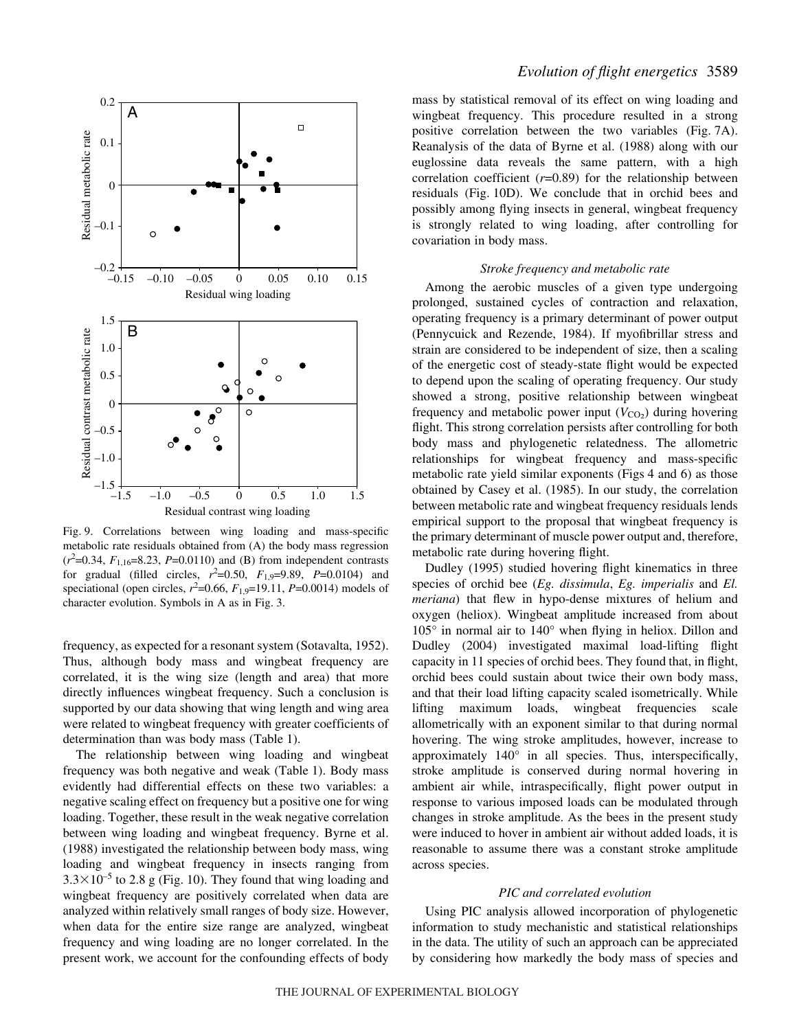

Fig. 9. Correlations between wing loading and mass-specific metabolic rate residuals obtained from (A) the body mass regression  $(r^2=0.34, F_{1,16}=8.23, P=0.0110)$  and (B) from independent contrasts for gradual (filled circles,  $r^2 = 0.50$ ,  $F_{1,9} = 9.89$ ,  $P = 0.0104$ ) and speciational (open circles,  $r^2 = 0.66$ ,  $F_{1,9} = 19.11$ ,  $P = 0.0014$ ) models of character evolution. Symbols in A as in Fig. 3.

frequency, as expected for a resonant system (Sotavalta, 1952). Thus, although body mass and wingbeat frequency are correlated, it is the wing size (length and area) that more directly influences wingbeat frequency. Such a conclusion is supported by our data showing that wing length and wing area were related to wingbeat frequency with greater coefficients of determination than was body mass (Table 1).

The relationship between wing loading and wingbeat frequency was both negative and weak (Table 1). Body mass evidently had differential effects on these two variables: a negative scaling effect on frequency but a positive one for wing loading. Together, these result in the weak negative correlation between wing loading and wingbeat frequency. Byrne et al. (1988) investigated the relationship between body mass, wing loading and wingbeat frequency in insects ranging from  $3.3\times10^{-5}$  to 2.8 g (Fig. 10). They found that wing loading and wingbeat frequency are positively correlated when data are analyzed within relatively small ranges of body size. However, when data for the entire size range are analyzed, wingbeat frequency and wing loading are no longer correlated. In the present work, we account for the confounding effects of body

## *Evolution of flight energetics* 3589

mass by statistical removal of its effect on wing loading and wingbeat frequency. This procedure resulted in a strong positive correlation between the two variables (Fig. 7A). Reanalysis of the data of Byrne et al. (1988) along with our euglossine data reveals the same pattern, with a high correlation coefficient (*r*=0.89) for the relationship between residuals (Fig. 10D). We conclude that in orchid bees and possibly among flying insects in general, wingbeat frequency is strongly related to wing loading, after controlling for covariation in body mass.

#### *Stroke frequency and metabolic rate*

Among the aerobic muscles of a given type undergoing prolonged, sustained cycles of contraction and relaxation, operating frequency is a primary determinant of power output (Pennycuick and Rezende, 1984). If myofibrillar stress and strain are considered to be independent of size, then a scaling of the energetic cost of steady-state flight would be expected to depend upon the scaling of operating frequency. Our study showed a strong, positive relationship between wingbeat frequency and metabolic power input  $(V_{CO_2})$  during hovering flight. This strong correlation persists after controlling for both body mass and phylogenetic relatedness. The allometric relationships for wingbeat frequency and mass-specific metabolic rate yield similar exponents (Figs 4 and 6) as those obtained by Casey et al. (1985). In our study, the correlation between metabolic rate and wingbeat frequency residuals lends empirical support to the proposal that wingbeat frequency is the primary determinant of muscle power output and, therefore, metabolic rate during hovering flight.

Dudley (1995) studied hovering flight kinematics in three species of orchid bee (*Eg. dissimula*, *Eg. imperialis* and *El. meriana*) that flew in hypo-dense mixtures of helium and oxygen (heliox). Wingbeat amplitude increased from about 105° in normal air to 140° when flying in heliox. Dillon and Dudley (2004) investigated maximal load-lifting flight capacity in 11 species of orchid bees. They found that, in flight, orchid bees could sustain about twice their own body mass, and that their load lifting capacity scaled isometrically. While lifting maximum loads, wingbeat frequencies scale allometrically with an exponent similar to that during normal hovering. The wing stroke amplitudes, however, increase to approximately 140° in all species. Thus, interspecifically, stroke amplitude is conserved during normal hovering in ambient air while, intraspecifically, flight power output in response to various imposed loads can be modulated through changes in stroke amplitude. As the bees in the present study were induced to hover in ambient air without added loads, it is reasonable to assume there was a constant stroke amplitude across species.

#### *PIC and correlated evolution*

Using PIC analysis allowed incorporation of phylogenetic information to study mechanistic and statistical relationships in the data. The utility of such an approach can be appreciated by considering how markedly the body mass of species and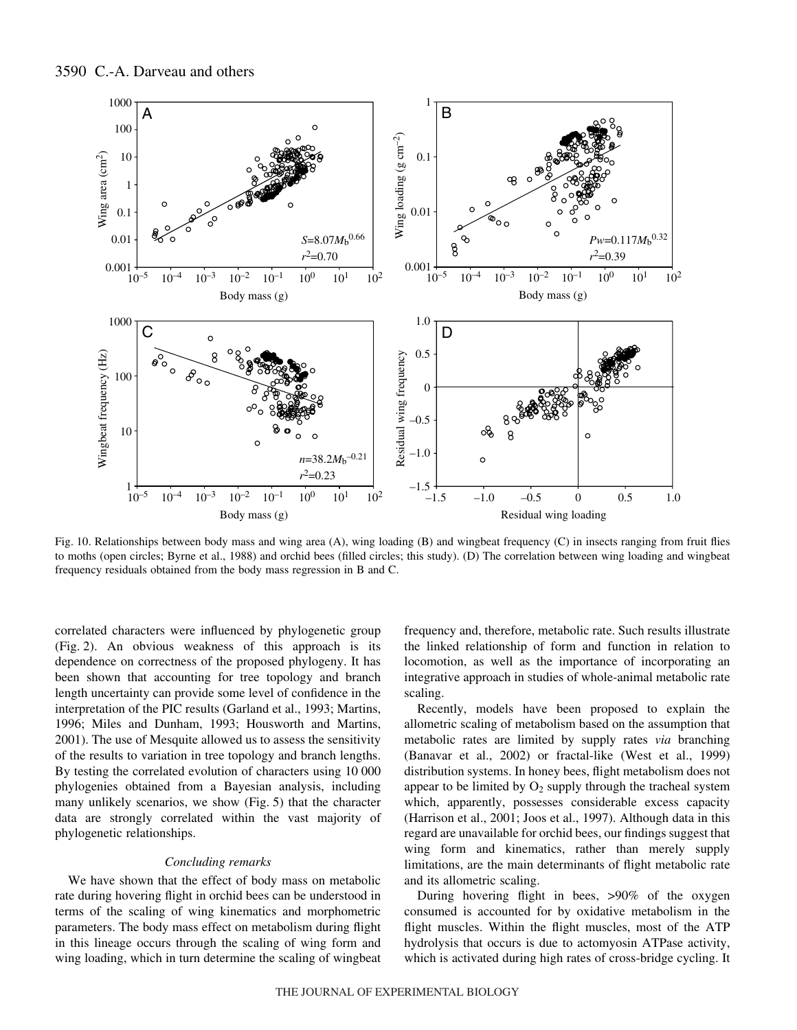

Fig. 10. Relationships between body mass and wing area (A), wing loading (B) and wingbeat frequency (C) in insects ranging from fruit flies to moths (open circles; Byrne et al., 1988) and orchid bees (filled circles; this study). (D) The correlation between wing loading and wingbeat frequency residuals obtained from the body mass regression in B and C.

correlated characters were influenced by phylogenetic group (Fig. 2). An obvious weakness of this approach is its dependence on correctness of the proposed phylogeny. It has been shown that accounting for tree topology and branch length uncertainty can provide some level of confidence in the interpretation of the PIC results (Garland et al., 1993; Martins, 1996; Miles and Dunham, 1993; Housworth and Martins, 2001). The use of Mesquite allowed us to assess the sensitivity of the results to variation in tree topology and branch lengths. By testing the correlated evolution of characters using 10 000 phylogenies obtained from a Bayesian analysis, including many unlikely scenarios, we show  $(Fig. 5)$  that the character data are strongly correlated within the vast majority of phylogenetic relationships.

### *Concluding remarks*

We have shown that the effect of body mass on metabolic rate during hovering flight in orchid bees can be understood in terms of the scaling of wing kinematics and morphometric parameters. The body mass effect on metabolism during flight in this lineage occurs through the scaling of wing form and wing loading, which in turn determine the scaling of wingbeat frequency and, therefore, metabolic rate. Such results illustrate the linked relationship of form and function in relation to locomotion, as well as the importance of incorporating an integrative approach in studies of whole-animal metabolic rate scaling.

Recently, models have been proposed to explain the allometric scaling of metabolism based on the assumption that metabolic rates are limited by supply rates *via* branching (Banavar et al., 2002) or fractal-like (West et al., 1999) distribution systems. In honey bees, flight metabolism does not appear to be limited by  $O_2$  supply through the tracheal system which, apparently, possesses considerable excess capacity (Harrison et al., 2001; Joos et al., 1997). Although data in this regard are unavailable for orchid bees, our findings suggest that wing form and kinematics, rather than merely supply limitations, are the main determinants of flight metabolic rate and its allometric scaling.

During hovering flight in bees, >90% of the oxygen consumed is accounted for by oxidative metabolism in the flight muscles. Within the flight muscles, most of the ATP hydrolysis that occurs is due to actomyosin ATPase activity, which is activated during high rates of cross-bridge cycling. It